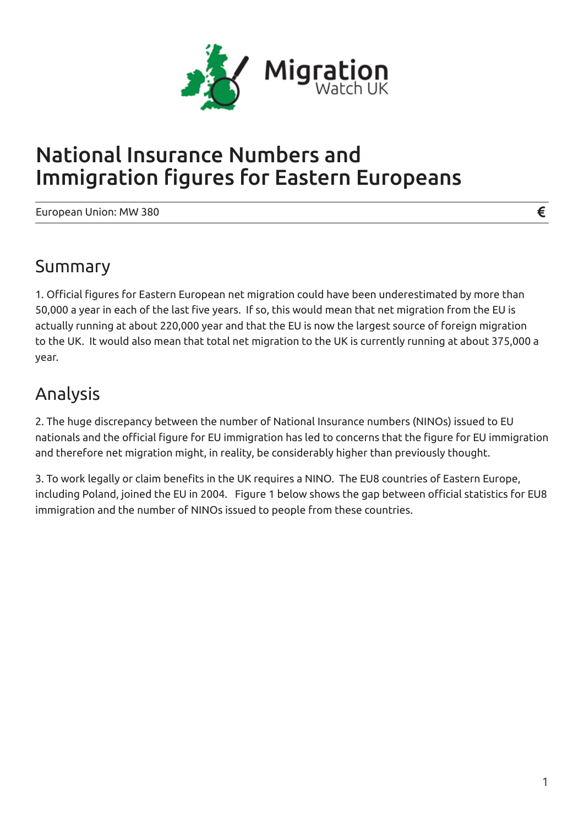

# National Insurance Numbers and Immigration figures for Eastern Europeans

European Union: MW 380

### Summary

1. Official figures for Eastern European net migration could have been underestimated by more than 50,000 a year in each of the last five years. If so, this would mean that net migration from the EU is actually running at about 220,000 year and that the EU is now the largest source of foreign migration to the UK. It would also mean that total net migration to the UK is currently running at about 375,000 a year.

## Analysis

2. The huge discrepancy between the number of National Insurance numbers (NINOs) issued to EU nationals and the official figure for EU immigration has led to concerns that the figure for EU immigration and therefore net migration might, in reality, be considerably higher than previously thought.

3. To work legally or claim benefits in the UK requires a NINO. The EU8 countries of Eastern Europe, including Poland, joined the EU in 2004. Figure 1 below shows the gap between official statistics for EU8 immigration and the number of NINOs issued to people from these countries.

€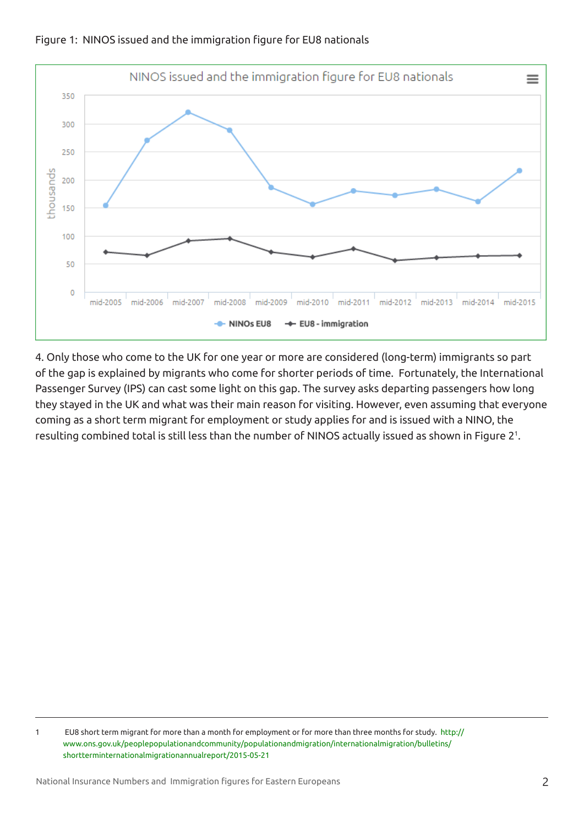

Figure 1: NINOS issued and the immigration figure for EU8 nationals

4. Only those who come to the UK for one year or more are considered (long-term) immigrants so part of the gap is explained by migrants who come for shorter periods of time. Fortunately, the International Passenger Survey (IPS) can cast some light on this gap. The survey asks departing passengers how long they stayed in the UK and what was their main reason for visiting. However, even assuming that everyone coming as a short term migrant for employment or study applies for and is issued with a NINO, the resulting combined total is still less than the number of NINOS actually issued as shown in Figure 2<sup>1</sup>.

<sup>1</sup> EU8 short term migrant for more than a month for employment or for more than three months for study. http:// www.ons.gov.uk/peoplepopulationandcommunity/populationandmigration/internationalmigration/bulletins/ shortterminternationalmigrationannualreport/2015-05-21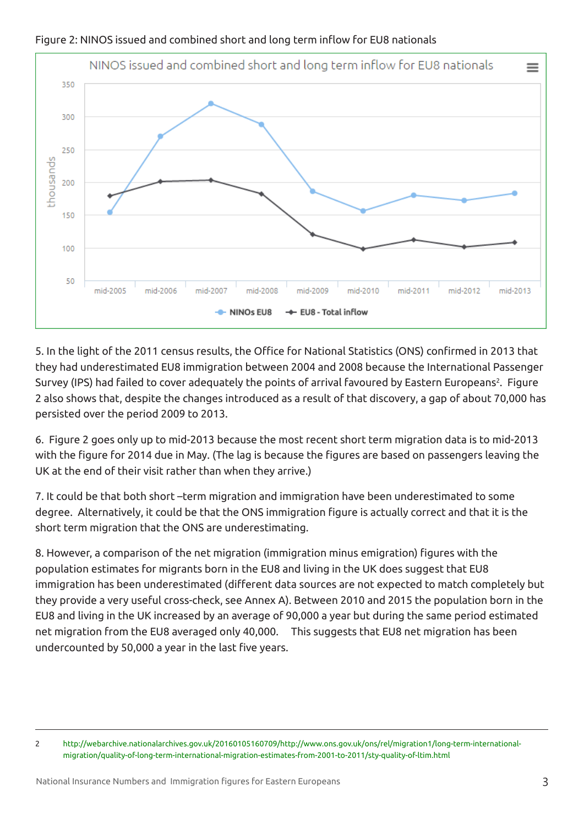

#### Figure 2: NINOS issued and combined short and long term inflow for EU8 nationals

5. In the light of the 2011 census results, the Office for National Statistics (ONS) confirmed in 2013 that they had underestimated EU8 immigration between 2004 and 2008 because the International Passenger Survey (IPS) had failed to cover adequately the points of arrival favoured by Eastern Europeans<sup>2</sup>. Figure 2 also shows that, despite the changes introduced as a result of that discovery, a gap of about 70,000 has persisted over the period 2009 to 2013.

6. Figure 2 goes only up to mid-2013 because the most recent short term migration data is to mid-2013 with the figure for 2014 due in May. (The lag is because the figures are based on passengers leaving the UK at the end of their visit rather than when they arrive.)

7. It could be that both short –term migration and immigration have been underestimated to some degree. Alternatively, it could be that the ONS immigration figure is actually correct and that it is the short term migration that the ONS are underestimating.

8. However, a comparison of the net migration (immigration minus emigration) figures with the population estimates for migrants born in the EU8 and living in the UK does suggest that EU8 immigration has been underestimated (different data sources are not expected to match completely but they provide a very useful cross-check, see Annex A). Between 2010 and 2015 the population born in the EU8 and living in the UK increased by an average of 90,000 a year but during the same period estimated net migration from the EU8 averaged only 40,000. This suggests that EU8 net migration has been undercounted by 50,000 a year in the last five years.

<sup>2</sup> http://webarchive.nationalarchives.gov.uk/20160105160709/http://www.ons.gov.uk/ons/rel/migration1/long-term-internationalmigration/quality-of-long-term-international-migration-estimates-from-2001-to-2011/sty-quality-of-ltim.html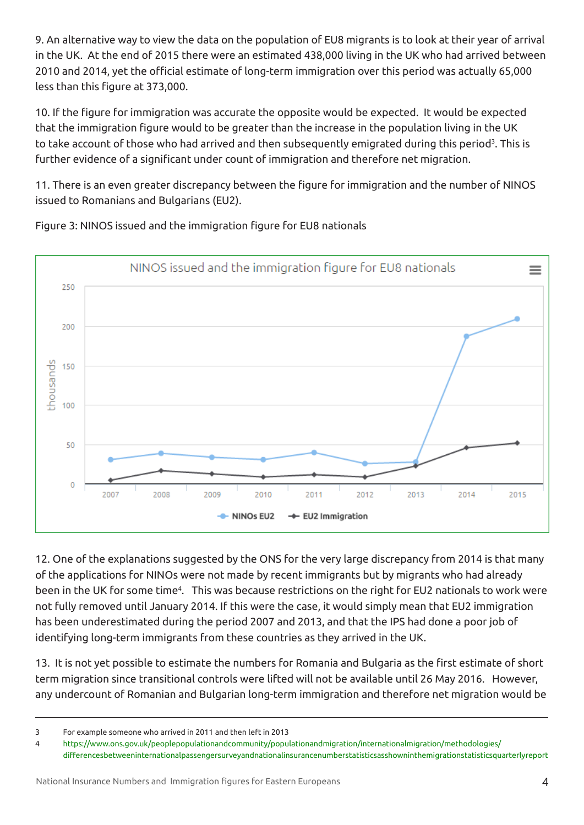9. An alternative way to view the data on the population of EU8 migrants is to look at their year of arrival in the UK. At the end of 2015 there were an estimated 438,000 living in the UK who had arrived between 2010 and 2014, yet the official estimate of long-term immigration over this period was actually 65,000 less than this figure at 373,000.

10. If the figure for immigration was accurate the opposite would be expected. It would be expected that the immigration figure would to be greater than the increase in the population living in the UK to take account of those who had arrived and then subsequently emigrated during this period<sup>3</sup>. This is further evidence of a significant under count of immigration and therefore net migration.

11. There is an even greater discrepancy between the figure for immigration and the number of NINOS issued to Romanians and Bulgarians (EU2).



Figure 3: NINOS issued and the immigration figure for EU8 nationals

12. One of the explanations suggested by the ONS for the very large discrepancy from 2014 is that many of the applications for NINOs were not made by recent immigrants but by migrants who had already been in the UK for some time<sup>4</sup>. This was because restrictions on the right for EU2 nationals to work were not fully removed until January 2014. If this were the case, it would simply mean that EU2 immigration has been underestimated during the period 2007 and 2013, and that the IPS had done a poor job of identifying long-term immigrants from these countries as they arrived in the UK.

13. It is not yet possible to estimate the numbers for Romania and Bulgaria as the first estimate of short term migration since transitional controls were lifted will not be available until 26 May 2016. However, any undercount of Romanian and Bulgarian long-term immigration and therefore net migration would be

<sup>3</sup> For example someone who arrived in 2011 and then left in 2013

<sup>4</sup> https://www.ons.gov.uk/peoplepopulationandcommunity/populationandmigration/internationalmigration/methodologies/ differencesbetweeninternationalpassengersurveyandnationalinsurancenumberstatisticsasshowninthemigrationstatisticsquarterlyreport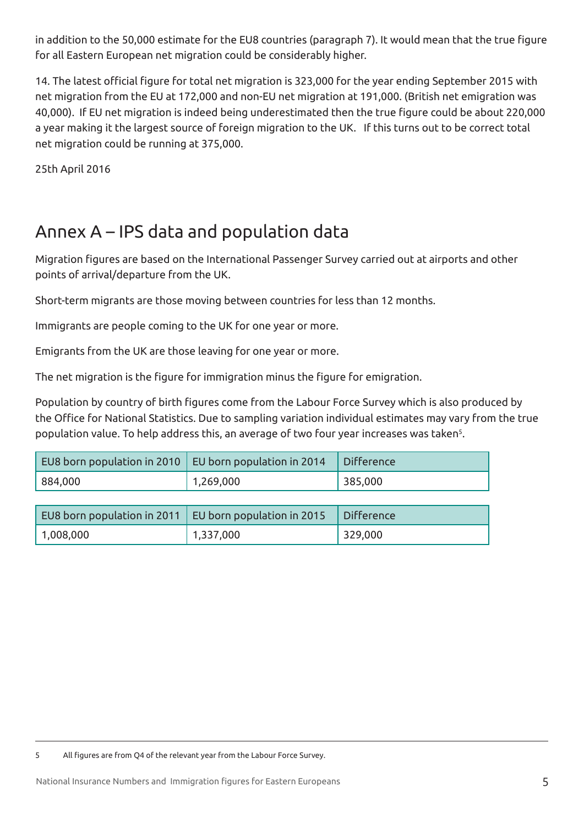in addition to the 50,000 estimate for the EU8 countries (paragraph 7). It would mean that the true figure for all Eastern European net migration could be considerably higher.

14. The latest official figure for total net migration is 323,000 for the year ending September 2015 with net migration from the EU at 172,000 and non-EU net migration at 191,000. (British net emigration was 40,000). If EU net migration is indeed being underestimated then the true figure could be about 220,000 a year making it the largest source of foreign migration to the UK. If this turns out to be correct total net migration could be running at 375,000.

25th April 2016

## Annex A – IPS data and population data

Migration figures are based on the International Passenger Survey carried out at airports and other points of arrival/departure from the UK.

Short-term migrants are those moving between countries for less than 12 months.

Immigrants are people coming to the UK for one year or more.

Emigrants from the UK are those leaving for one year or more.

The net migration is the figure for immigration minus the figure for emigration.

Population by country of birth figures come from the Labour Force Survey which is also produced by the Office for National Statistics. Due to sampling variation individual estimates may vary from the true population value. To help address this, an average of two four year increases was taken<sup>s</sup>.

|         | EU8 born population in 2010   EU born population in 2014   Difference |         |
|---------|-----------------------------------------------------------------------|---------|
| 884,000 | 1,269,000                                                             | 385,000 |

| EU8 born population in 2011 $\,$ EU born population in 2015 |           | Difference |
|-------------------------------------------------------------|-----------|------------|
| $^{\circ}$ 1,008,000                                        | 1,337,000 | 329,000    |

<sup>5</sup> All figures are from Q4 of the relevant year from the Labour Force Survey.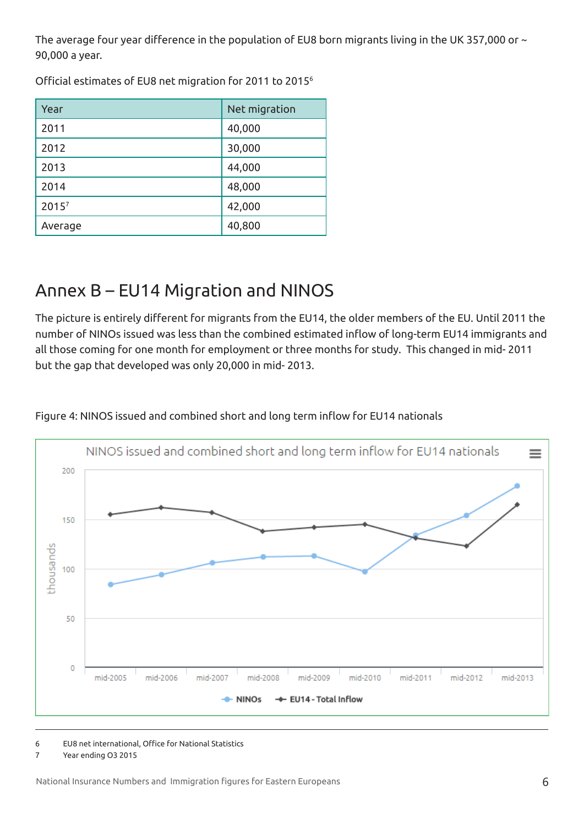The average four year difference in the population of EU8 born migrants living in the UK 357,000 or  $\sim$ 90,000 a year.

Official estimates of EU8 net migration for 2011 to 2015<sup>6</sup>

| Year              | Net migration |
|-------------------|---------------|
| 2011              | 40,000        |
| 2012              | 30,000        |
| 2013              | 44,000        |
| 2014              | 48,000        |
| 2015 <sup>7</sup> | 42,000        |
| Average           | 40,800        |

## Annex B – EU14 Migration and NINOS

The picture is entirely different for migrants from the EU14, the older members of the EU. Until 2011 the number of NINOs issued was less than the combined estimated inflow of long-term EU14 immigrants and all those coming for one month for employment or three months for study. This changed in mid- 2011 but the gap that developed was only 20,000 in mid- 2013.



Figure 4: NINOS issued and combined short and long term inflow for EU14 nationals

6 EU8 net international, Office for National Statistics

7 Year ending O3 2015

National Insurance Numbers and Immigration figures for Eastern Europeans 6